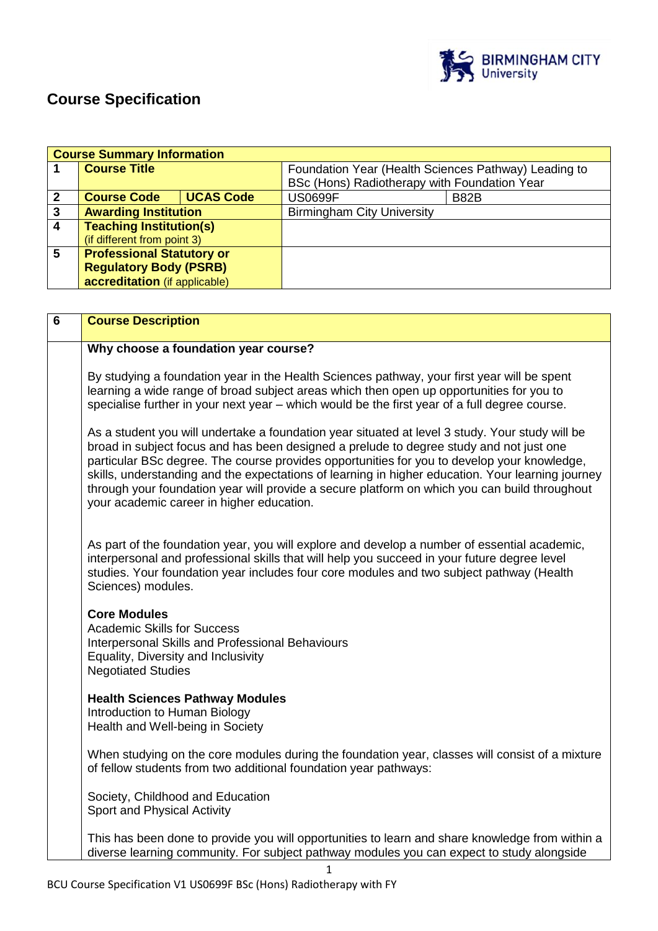

# **Course Specification**

| <b>Course Summary Information</b> |                                  |                  |                                                      |      |
|-----------------------------------|----------------------------------|------------------|------------------------------------------------------|------|
|                                   | <b>Course Title</b>              |                  | Foundation Year (Health Sciences Pathway) Leading to |      |
|                                   |                                  |                  | BSc (Hons) Radiotherapy with Foundation Year         |      |
| $\mathbf{2}$                      | <b>Course Code</b>               | <b>UCAS Code</b> | <b>US0699F</b>                                       | B82B |
| $\mathbf{3}$                      | <b>Awarding Institution</b>      |                  | <b>Birmingham City University</b>                    |      |
| $\overline{4}$                    | <b>Teaching Institution(s)</b>   |                  |                                                      |      |
|                                   | (if different from point 3)      |                  |                                                      |      |
| $5\phantom{.0}$                   | <b>Professional Statutory or</b> |                  |                                                      |      |
|                                   | <b>Regulatory Body (PSRB)</b>    |                  |                                                      |      |
|                                   | accreditation (if applicable)    |                  |                                                      |      |

| 6 | <b>Course Description</b>                                                                                                                                                                                                                                                                                                                                                                                                                                                                                                                    |
|---|----------------------------------------------------------------------------------------------------------------------------------------------------------------------------------------------------------------------------------------------------------------------------------------------------------------------------------------------------------------------------------------------------------------------------------------------------------------------------------------------------------------------------------------------|
|   | Why choose a foundation year course?                                                                                                                                                                                                                                                                                                                                                                                                                                                                                                         |
|   | By studying a foundation year in the Health Sciences pathway, your first year will be spent<br>learning a wide range of broad subject areas which then open up opportunities for you to<br>specialise further in your next year - which would be the first year of a full degree course.                                                                                                                                                                                                                                                     |
|   | As a student you will undertake a foundation year situated at level 3 study. Your study will be<br>broad in subject focus and has been designed a prelude to degree study and not just one<br>particular BSc degree. The course provides opportunities for you to develop your knowledge,<br>skills, understanding and the expectations of learning in higher education. Your learning journey<br>through your foundation year will provide a secure platform on which you can build throughout<br>your academic career in higher education. |
|   | As part of the foundation year, you will explore and develop a number of essential academic,<br>interpersonal and professional skills that will help you succeed in your future degree level<br>studies. Your foundation year includes four core modules and two subject pathway (Health<br>Sciences) modules.                                                                                                                                                                                                                               |
|   | <b>Core Modules</b><br><b>Academic Skills for Success</b><br>Interpersonal Skills and Professional Behaviours<br>Equality, Diversity and Inclusivity<br><b>Negotiated Studies</b>                                                                                                                                                                                                                                                                                                                                                            |
|   | <b>Health Sciences Pathway Modules</b><br>Introduction to Human Biology<br>Health and Well-being in Society                                                                                                                                                                                                                                                                                                                                                                                                                                  |
|   | When studying on the core modules during the foundation year, classes will consist of a mixture<br>of fellow students from two additional foundation year pathways:                                                                                                                                                                                                                                                                                                                                                                          |
|   | Society, Childhood and Education<br>Sport and Physical Activity                                                                                                                                                                                                                                                                                                                                                                                                                                                                              |
|   | This has been done to provide you will opportunities to learn and share knowledge from within a<br>diverse learning community. For subject pathway modules you can expect to study alongside                                                                                                                                                                                                                                                                                                                                                 |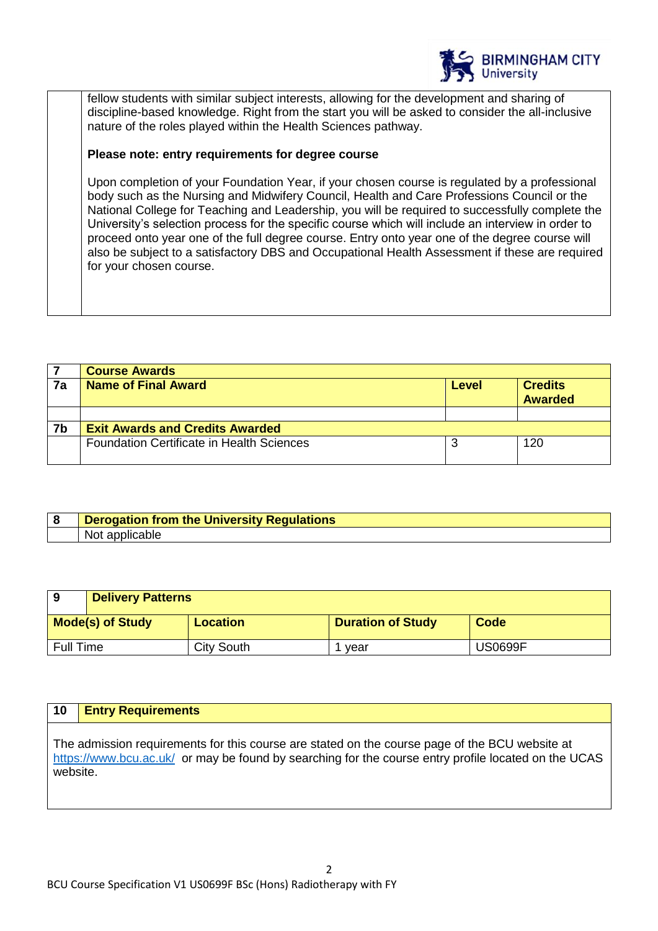

fellow students with similar subject interests, allowing for the development and sharing of discipline-based knowledge. Right from the start you will be asked to consider the all-inclusive nature of the roles played within the Health Sciences pathway.

# **Please note: entry requirements for degree course**

Upon completion of your Foundation Year, if your chosen course is regulated by a professional body such as the Nursing and Midwifery Council, Health and Care Professions Council or the National College for Teaching and Leadership, you will be required to successfully complete the University's selection process for the specific course which will include an interview in order to proceed onto year one of the full degree course. Entry onto year one of the degree course will also be subject to a satisfactory DBS and Occupational Health Assessment if these are required for your chosen course.

|    | <b>Course Awards</b>                             |       |                                  |
|----|--------------------------------------------------|-------|----------------------------------|
| 7a | <b>Name of Final Award</b>                       | Level | <b>Credits</b><br><b>Awarded</b> |
|    |                                                  |       |                                  |
| 7b | <b>Exit Awards and Credits Awarded</b>           |       |                                  |
|    | <b>Foundation Certificate in Health Sciences</b> |       | 120                              |

| <b>Derogation from the University Regulations</b> |
|---------------------------------------------------|
| Not.<br>applicable                                |

| 9                | <b>Delivery Patterns</b> |                   |                          |                |
|------------------|--------------------------|-------------------|--------------------------|----------------|
|                  | <b>Mode(s) of Study</b>  | <b>Location</b>   | <b>Duration of Study</b> | Code           |
| <b>Full Time</b> |                          | <b>City South</b> | vear                     | <b>US0699F</b> |

# **10 Entry Requirements**

The admission requirements for this course are stated on the course page of the BCU website at <https://www.bcu.ac.uk/>or may be found by searching for the course entry profile located on the UCAS website.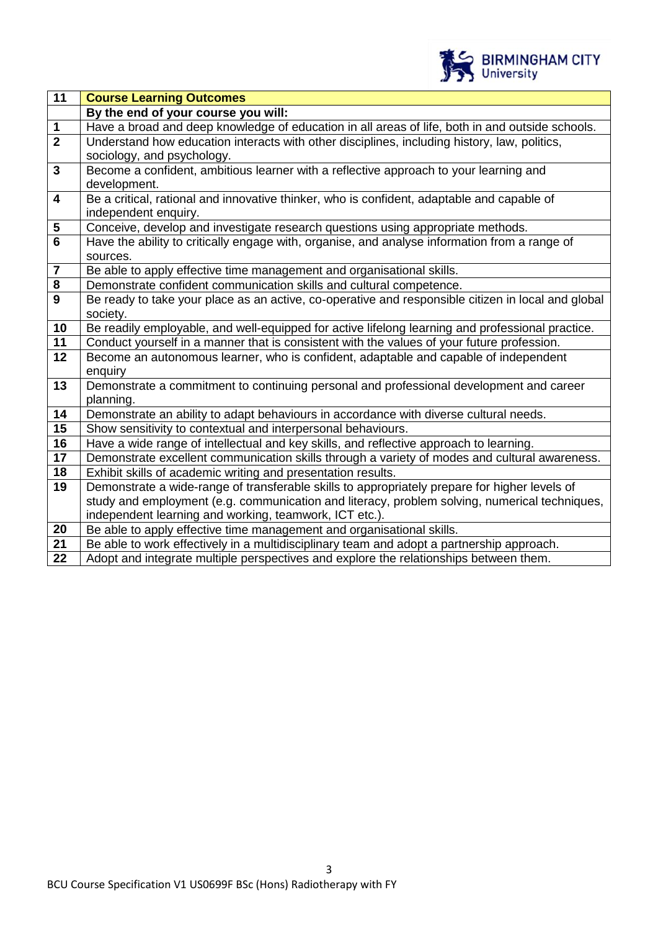

| Have a broad and deep knowledge of education in all areas of life, both in and outside schools.      |  |
|------------------------------------------------------------------------------------------------------|--|
| Understand how education interacts with other disciplines, including history, law, politics,         |  |
|                                                                                                      |  |
| Become a confident, ambitious learner with a reflective approach to your learning and                |  |
|                                                                                                      |  |
| Be a critical, rational and innovative thinker, who is confident, adaptable and capable of           |  |
|                                                                                                      |  |
| Conceive, develop and investigate research questions using appropriate methods.                      |  |
| Have the ability to critically engage with, organise, and analyse information from a range of        |  |
|                                                                                                      |  |
|                                                                                                      |  |
|                                                                                                      |  |
| Be ready to take your place as an active, co-operative and responsible citizen in local and global   |  |
|                                                                                                      |  |
| Be readily employable, and well-equipped for active lifelong learning and professional practice.     |  |
| Conduct yourself in a manner that is consistent with the values of your future profession.           |  |
| Become an autonomous learner, who is confident, adaptable and capable of independent                 |  |
|                                                                                                      |  |
| Demonstrate a commitment to continuing personal and professional development and career<br>planning. |  |
| Demonstrate an ability to adapt behaviours in accordance with diverse cultural needs.                |  |
|                                                                                                      |  |
| Have a wide range of intellectual and key skills, and reflective approach to learning.               |  |
| Demonstrate excellent communication skills through a variety of modes and cultural awareness.        |  |
|                                                                                                      |  |
| Demonstrate a wide-range of transferable skills to appropriately prepare for higher levels of        |  |
| study and employment (e.g. communication and literacy, problem solving, numerical techniques,        |  |
|                                                                                                      |  |
|                                                                                                      |  |
| Be able to work effectively in a multidisciplinary team and adopt a partnership approach.            |  |
| Adopt and integrate multiple perspectives and explore the relationships between them.                |  |
|                                                                                                      |  |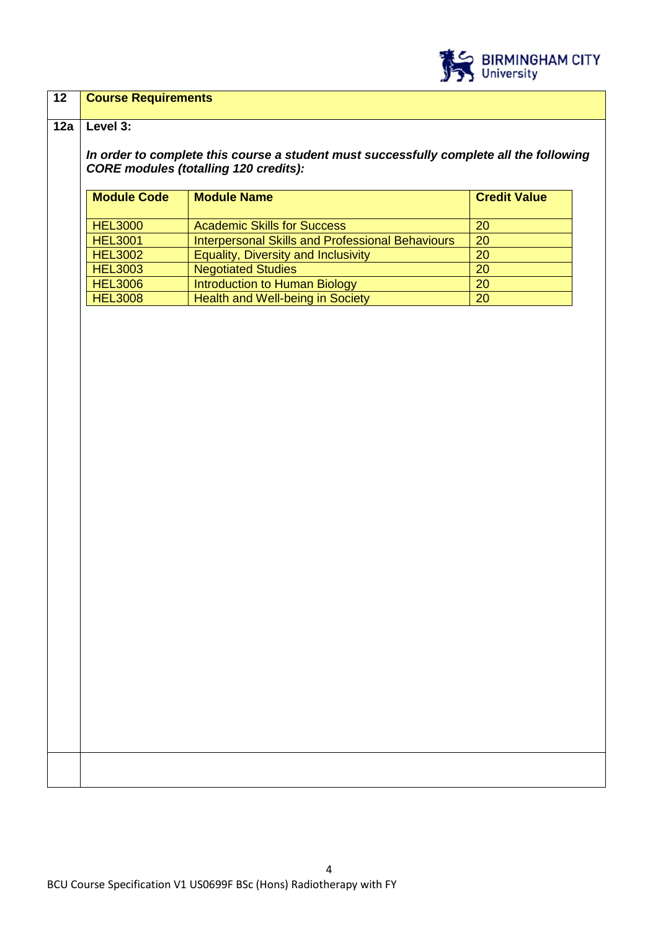

## **12 Course Requirements**

#### **12a Level 3:**

*In order to complete this course a student must successfully complete all the following CORE modules (totalling 120 credits):*

| <b>Module Code</b> | <b>Module Name</b>                                      | <b>Credit Value</b> |
|--------------------|---------------------------------------------------------|---------------------|
|                    |                                                         |                     |
| <b>HEL3000</b>     | <b>Academic Skills for Success</b>                      | 20                  |
| <b>HEL3001</b>     | <b>Interpersonal Skills and Professional Behaviours</b> | 20                  |
| <b>HEL3002</b>     | <b>Equality, Diversity and Inclusivity</b>              | <b>20</b>           |
| <b>HEL3003</b>     | <b>Negotiated Studies</b>                               | 20                  |
| <b>HEL3006</b>     | Introduction to Human Biology                           | 20                  |
| <b>HEL3008</b>     | Health and Well-being in Society                        | 20                  |